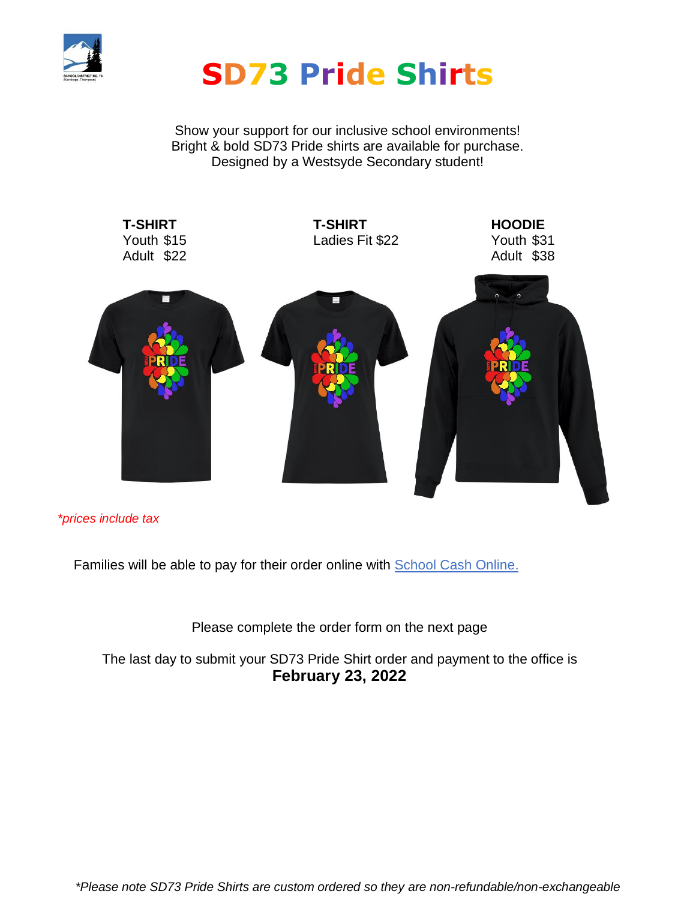

# **SD73 Pride Shirts**

Show your support for our inclusive school environments! Bright & bold SD73 Pride shirts are available for purchase. Designed by a Westsyde Secondary student!



*\*prices include tax*

Families will be able to pay for their order online with School Cash Online.

Please complete the order form on the next page

The last day to submit your SD73 Pride Shirt order and payment to the office is **February 23, 2022**